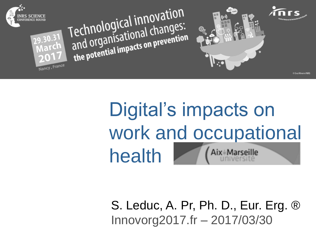

# Digital's impacts on work and occupational Aix\*Marseille health

S. Leduc, A. Pr, Ph. D., Eur. Erg. ® Innovorg2017.fr – 2017/03/30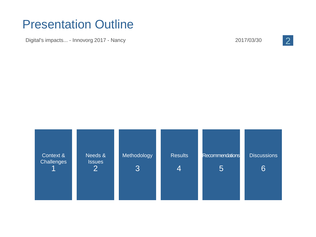#### Presentation Outline

Digital's impacts... - Innovorg 2017 - Nancy 2017 - 2017/03/30

2

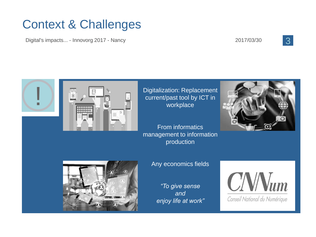### Context & Challenges

Digital's impacts... - Innovorg 2017 - Nancy 2017/03/30







Digitalization: Replacement current/past tool by ICT in workplace

From informatics management to information production





Any economics fields

*"To give sense and enjoy life at work"*



Conseil National du Numérique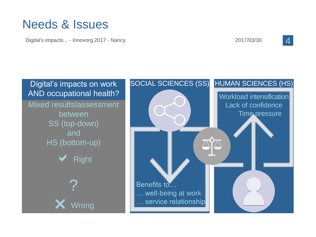#### Needs & Issues

Digital's impacts... - Innovorg 2017 - Nancy 2017/03/30

4

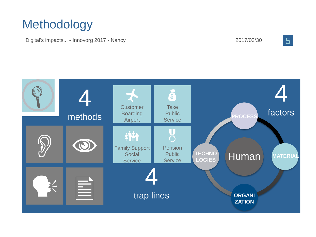### Methodology

Digital's impacts... - Innovorg 2017 - Nancy

2017/03/30 5

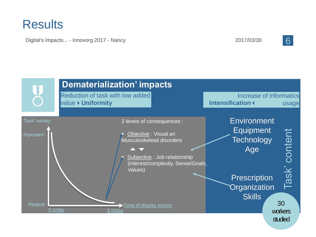Digital's impacts... - Innovorg 2017 - Nancy 2017 2017/03/30

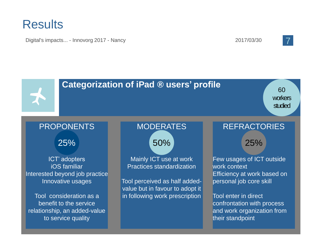Digital's impacts... - Innovorg 2017 - Nancy 2017 2017/03/30 2017/03/30



#### **Categorization of iPad ® users' profile** PROPONENTS ICT' adopters iOS familiar Interested beyond job practice Innovative usages Tool consideration as a benefit to the service relationship, an added-value to service quality MODERATES Mainly ICT use at work Practices standardization Tool perceived as half addedvalue but in favour to adopt it in following work prescription REFRACTORIES Few usages of ICT outside work context Efficiency at work based on personal job core skill Tool enter in direct confrontation with process and work organization from their standpoint 25% 25% 25% 25% 25% 25% 60 workers studied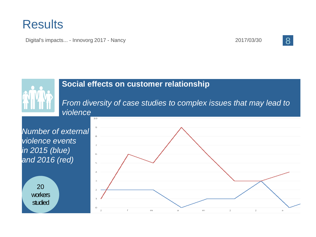Digital's impacts... - Innovorg 2017 - Nancy 2017 2017/03/30

 $\overline{10}$ 



#### **Social effects on customer relationship**

*From diversity of case studies to complex issues that may lead to violence*

*Number of external violence events in 2015 (blue) and 2016 (red)*

20 **workers** studied

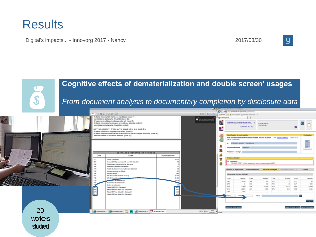Digital's impacts... - Innovorg 2017 - Nancy 2017 2017/03/30 2017/03/30

#### **Cognitive effects of dematerialization and double screen' usages**<br>*From document analysis to documentary completion by disclosure data*<br>*From document analysis to documentary completion by disclosure data* Enfants mineurs non mariés, ou handicapés (code F) **PE Puntait applicatif** dont titulaires de la carte d'invalidité (code G) Personnes invalides vivant sous votre toil (code R): Ø Enfants mineurs ou handicapés en résidence alternée (code H): GENON GENEVENE MARIE MAD. U **Third del almost** doot titulaires de la cada d'invalidat (code l) 0.993.264.957.2625 RATTACHEMENT D'ENFANTS MAJEURS OU MARIÉS 响 - Enfants célibataires majeurs sans enfant (code J):<br>• Enfants majeurs mariés/pacsés ou enfants non mariés chargés de famille (code N ): a <mark>ad</mark> et leurs enfants en nésidence alternée (code P ) : MME QUEMON SENEVENT MARIE MADELENE JULI née DUEMON SPI : 05910941671000 nie in 15.63 a Ea Š AFT 72 BD DE LAUMONT 77500 MELLI ٠ *<u>Education</u>* da familia g. fersonnes à charge **DÉTAIL DES REVENUS ET CHARGES** Δ Code Libelle Montant en euros Ÿ alaine - Declarant 1 Revenue 219: deja soumis aux PS avec CSG deductio 9 Tradement / TERP: Vérifer la salait des codes correspondent au PER a, Credits d'impot professionnet forfait. deja verse **DOK** sisi: *<u><u><b>International</u></u>* a fixed show and reduced</u> **FFR** Produits de placement a reserve fixe sans abatter Données de la personne Situation de famille **Auvenus et cha** h.ib Done aux semimers en difficulte 3a **Come and becomes** 6ab iva RFR 2011 Inselekular hauts revenue 31713 w RFR 2012 (contribution has its 21489 and in the country of the **LA**  $^{16}$ **SOK**  $\overline{1}$ 200 200206 nenu facal de reference 2011 **COL**  $\overline{u}$ 3,0  $\sim$  $768$ **STO** mine de codes saloit **EHA** 21489 **IVB** 22309 **IVR** 2015 eys. 11489 News PERP 2012 - Declarant 1 3431<br>3431<br>3430 22509 APS 5703 ors (m) National PERP non added 2010 - Declarant Patient PERP non utilise 2011 - Declarant 1 (sin) 3601 Ralond PERP non ables 2012 - Declarant 1 Quitter Estever Firms & Validar la 20 Sharanan - Showerand - B B Sounder - Landston, m + 80 O 1040

**workers** studied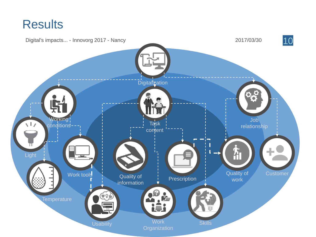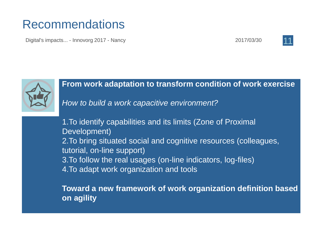#### Recommendations

Digital's impacts... - Innovorg 2017 - Nancy 2017 2017/03/30 2017/03/30





#### **From work adaptation to transform condition of work exercise**

*How to build a work capacitive environment?*

1.To identify capabilities and its limits (Zone of Proximal Development) 2.To bring situated social and cognitive resources (colleagues, tutorial, on-line support) 3.To follow the real usages (on-line indicators, log-files) 4.To adapt work organization and tools

**Toward a new framework of work organization definition based on agility**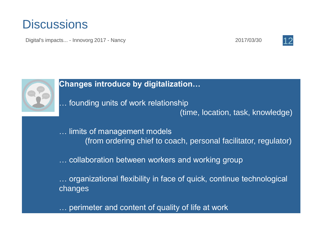#### **Discussions**

Digital's impacts... - Innovorg 2017 - Nancy 2017 12





#### **Changes introduce by digitalization…**

… founding units of work relationship (time, location, task, knowledge)

… limits of management models (from ordering chief to coach, personal facilitator, regulator)

… collaboration between workers and working group

… organizational flexibility in face of quick, continue technological changes

… perimeter and content of quality of life at work